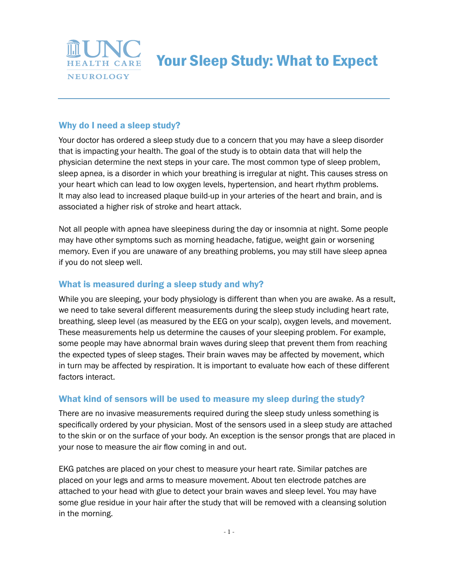

Your Sleep Study: What to Expect

## Why do I need a sleep study?

Your doctor has ordered a sleep study due to a concern that you may have a sleep disorder that is impacting your health. The goal of the study is to obtain data that will help the physician determine the next steps in your care. The most common type of sleep problem, sleep apnea, is a disorder in which your breathing is irregular at night. This causes stress on your heart which can lead to low oxygen levels, hypertension, and heart rhythm problems. It may also lead to increased plaque build-up in your arteries of the heart and brain, and is associated a higher risk of stroke and heart attack.

Not all people with apnea have sleepiness during the day or insomnia at night. Some people may have other symptoms such as morning headache, fatigue, weight gain or worsening memory. Even if you are unaware of any breathing problems, you may still have sleep apnea if you do not sleep well.

### What is measured during a sleep study and why?

While you are sleeping, your body physiology is different than when you are awake. As a result, we need to take several different measurements during the sleep study including heart rate, breathing, sleep level (as measured by the EEG on your scalp), oxygen levels, and movement. These measurements help us determine the causes of your sleeping problem. For example, some people may have abnormal brain waves during sleep that prevent them from reaching the expected types of sleep stages. Their brain waves may be affected by movement, which in turn may be affected by respiration. It is important to evaluate how each of these different factors interact.

### What kind of sensors will be used to measure my sleep during the study?

There are no invasive measurements required during the sleep study unless something is specifically ordered by your physician. Most of the sensors used in a sleep study are attached to the skin or on the surface of your body. An exception is the sensor prongs that are placed in your nose to measure the air flow coming in and out.

EKG patches are placed on your chest to measure your heart rate. Similar patches are placed on your legs and arms to measure movement. About ten electrode patches are attached to your head with glue to detect your brain waves and sleep level. You may have some glue residue in your hair after the study that will be removed with a cleansing solution in the morning.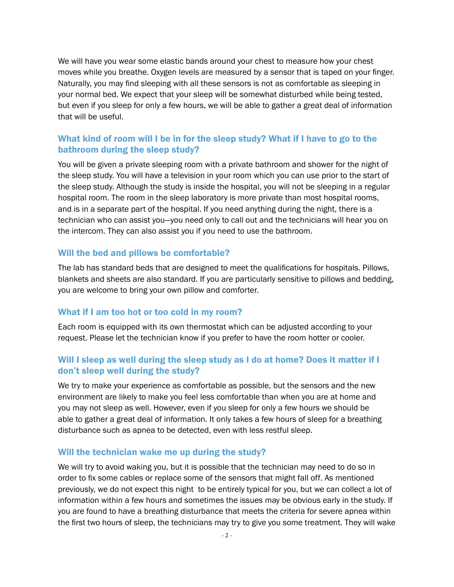We will have you wear some elastic bands around your chest to measure how your chest moves while you breathe. Oxygen levels are measured by a sensor that is taped on your finger. Naturally, you may find sleeping with all these sensors is not as comfortable as sleeping in your normal bed. We expect that your sleep will be somewhat disturbed while being tested, but even if you sleep for only a few hours, we will be able to gather a great deal of information that will be useful.

## What kind of room will I be in for the sleep study? What if I have to go to the bathroom during the sleep study?

You will be given a private sleeping room with a private bathroom and shower for the night of the sleep study. You will have a television in your room which you can use prior to the start of the sleep study. Although the study is inside the hospital, you will not be sleeping in a regular hospital room. The room in the sleep laboratory is more private than most hospital rooms, and is in a separate part of the hospital. If you need anything during the night, there is a technician who can assist you—you need only to call out and the technicians will hear you on the intercom. They can also assist you if you need to use the bathroom.

#### Will the bed and pillows be comfortable?

The lab has standard beds that are designed to meet the qualifications for hospitals. Pillows, blankets and sheets are also standard. If you are particularly sensitive to pillows and bedding, you are welcome to bring your own pillow and comforter.

#### What if I am too hot or too cold in my room?

Each room is equipped with its own thermostat which can be adjusted according to your request. Please let the technician know if you prefer to have the room hotter or cooler.

## Will I sleep as well during the sleep study as I do at home? Does it matter if I don't sleep well during the study?

We try to make your experience as comfortable as possible, but the sensors and the new environment are likely to make you feel less comfortable than when you are at home and you may not sleep as well. However, even if you sleep for only a few hours we should be able to gather a great deal of information. It only takes a few hours of sleep for a breathing disturbance such as apnea to be detected, even with less restful sleep.

#### Will the technician wake me up during the study?

We will try to avoid waking you, but it is possible that the technician may need to do so in order to fix some cables or replace some of the sensors that might fall off. As mentioned previously, we do not expect this night to be entirely typical for you, but we can collect a lot of information within a few hours and sometimes the issues may be obvious early in the study. If you are found to have a breathing disturbance that meets the criteria for severe apnea within the first two hours of sleep, the technicians may try to give you some treatment. They will wake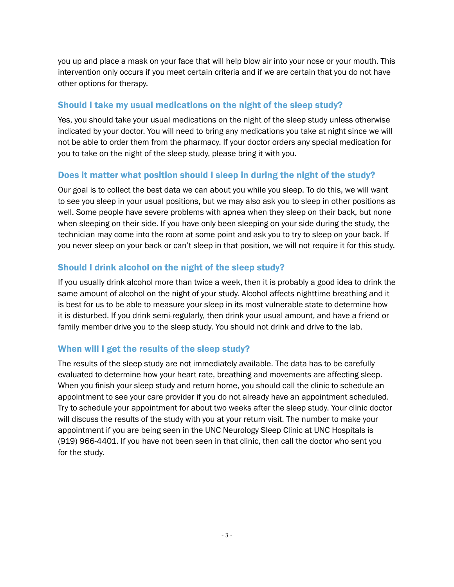you up and place a mask on your face that will help blow air into your nose or your mouth. This intervention only occurs if you meet certain criteria and if we are certain that you do not have other options for therapy.

# Should I take my usual medications on the night of the sleep study?

Yes, you should take your usual medications on the night of the sleep study unless otherwise indicated by your doctor. You will need to bring any medications you take at night since we will not be able to order them from the pharmacy. If your doctor orders any special medication for you to take on the night of the sleep study, please bring it with you.

# Does it matter what position should I sleep in during the night of the study?

Our goal is to collect the best data we can about you while you sleep. To do this, we will want to see you sleep in your usual positions, but we may also ask you to sleep in other positions as well. Some people have severe problems with apnea when they sleep on their back, but none when sleeping on their side. If you have only been sleeping on your side during the study, the technician may come into the room at some point and ask you to try to sleep on your back. If you never sleep on your back or can't sleep in that position, we will not require it for this study.

## Should I drink alcohol on the night of the sleep study?

If you usually drink alcohol more than twice a week, then it is probably a good idea to drink the same amount of alcohol on the night of your study. Alcohol affects nighttime breathing and it is best for us to be able to measure your sleep in its most vulnerable state to determine how it is disturbed. If you drink semi-regularly, then drink your usual amount, and have a friend or family member drive you to the sleep study. You should not drink and drive to the lab.

# When will I get the results of the sleep study?

The results of the sleep study are not immediately available. The data has to be carefully evaluated to determine how your heart rate, breathing and movements are affecting sleep. When you finish your sleep study and return home, you should call the clinic to schedule an appointment to see your care provider if you do not already have an appointment scheduled. Try to schedule your appointment for about two weeks after the sleep study. Your clinic doctor will discuss the results of the study with you at your return visit. The number to make your appointment if you are being seen in the UNC Neurology Sleep Clinic at UNC Hospitals is (919) 966-4401. If you have not been seen in that clinic, then call the doctor who sent you for the study.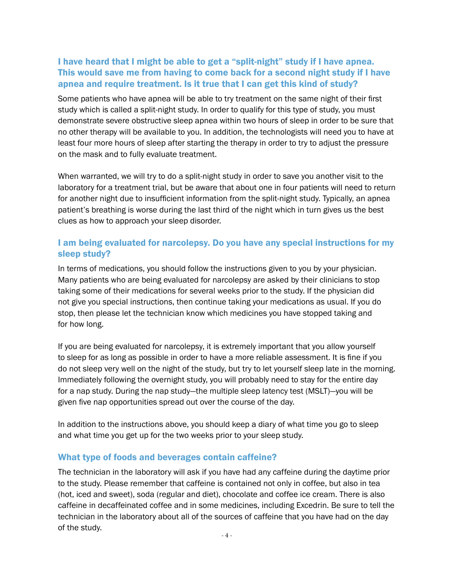## I have heard that I might be able to get a "split-night" study if I have apnea. This would save me from having to come back for a second night study if I have apnea and require treatment. Is it true that I can get this kind of study?

Some patients who have apnea will be able to try treatment on the same night of their first study which is called a split-night study. In order to qualify for this type of study, you must demonstrate severe obstructive sleep apnea within two hours of sleep in order to be sure that no other therapy will be available to you. In addition, the technologists will need you to have at least four more hours of sleep after starting the therapy in order to try to adjust the pressure on the mask and to fully evaluate treatment.

When warranted, we will try to do a split-night study in order to save you another visit to the laboratory for a treatment trial, but be aware that about one in four patients will need to return for another night due to insufficient information from the split-night study. Typically, an apnea patient's breathing is worse during the last third of the night which in turn gives us the best clues as how to approach your sleep disorder.

## I am being evaluated for narcolepsy. Do you have any special instructions for my sleep study?

In terms of medications, you should follow the instructions given to you by your physician. Many patients who are being evaluated for narcolepsy are asked by their clinicians to stop taking some of their medications for several weeks prior to the study. If the physician did not give you special instructions, then continue taking your medications as usual. If you do stop, then please let the technician know which medicines you have stopped taking and for how long.

If you are being evaluated for narcolepsy, it is extremely important that you allow yourself to sleep for as long as possible in order to have a more reliable assessment. It is fine if you do not sleep very well on the night of the study, but try to let yourself sleep late in the morning. Immediately following the overnight study, you will probably need to stay for the entire day for a nap study. During the nap study—the multiple sleep latency test (MSLT)—you will be given five nap opportunities spread out over the course of the day.

In addition to the instructions above, you should keep a diary of what time you go to sleep and what time you get up for the two weeks prior to your sleep study.

### What type of foods and beverages contain caffeine?

The technician in the laboratory will ask if you have had any caffeine during the daytime prior to the study. Please remember that caffeine is contained not only in coffee, but also in tea (hot, iced and sweet), soda (regular and diet), chocolate and coffee ice cream. There is also caffeine in decaffeinated coffee and in some medicines, including Excedrin. Be sure to tell the technician in the laboratory about all of the sources of caffeine that you have had on the day of the study.